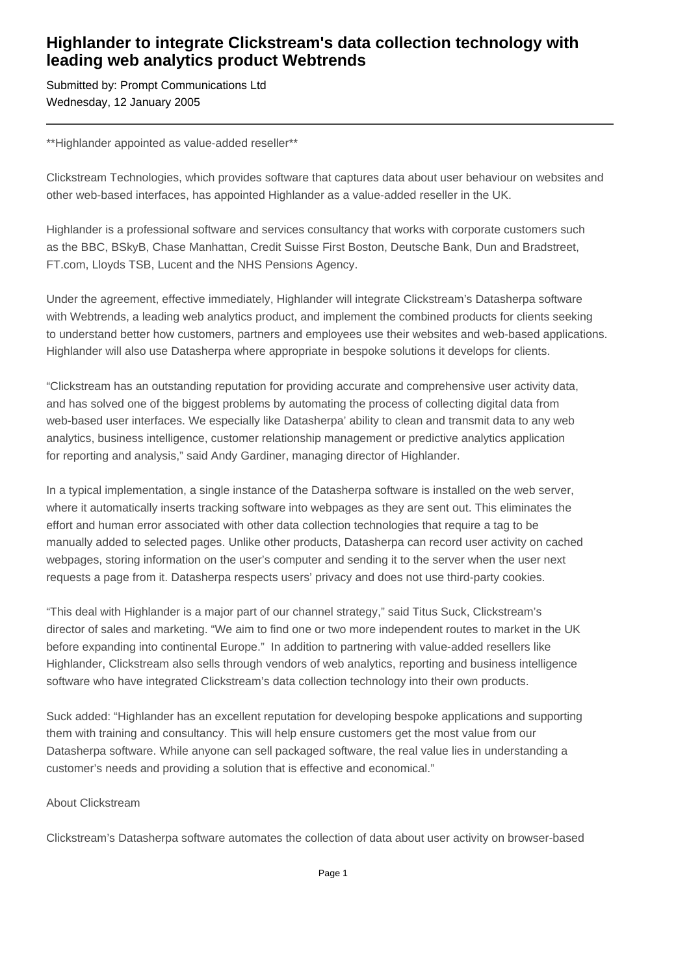## **Highlander to integrate Clickstream's data collection technology with leading web analytics product Webtrends**

Submitted by: Prompt Communications Ltd Wednesday, 12 January 2005

\*\*Highlander appointed as value-added reseller\*\*

Clickstream Technologies, which provides software that captures data about user behaviour on websites and other web-based interfaces, has appointed Highlander as a value-added reseller in the UK.

Highlander is a professional software and services consultancy that works with corporate customers such as the BBC, BSkyB, Chase Manhattan, Credit Suisse First Boston, Deutsche Bank, Dun and Bradstreet, FT.com, Lloyds TSB, Lucent and the NHS Pensions Agency.

Under the agreement, effective immediately, Highlander will integrate Clickstream's Datasherpa software with Webtrends, a leading web analytics product, and implement the combined products for clients seeking to understand better how customers, partners and employees use their websites and web-based applications. Highlander will also use Datasherpa where appropriate in bespoke solutions it develops for clients.

"Clickstream has an outstanding reputation for providing accurate and comprehensive user activity data, and has solved one of the biggest problems by automating the process of collecting digital data from web-based user interfaces. We especially like Datasherpa' ability to clean and transmit data to any web analytics, business intelligence, customer relationship management or predictive analytics application for reporting and analysis," said Andy Gardiner, managing director of Highlander.

In a typical implementation, a single instance of the Datasherpa software is installed on the web server, where it automatically inserts tracking software into webpages as they are sent out. This eliminates the effort and human error associated with other data collection technologies that require a tag to be manually added to selected pages. Unlike other products, Datasherpa can record user activity on cached webpages, storing information on the user's computer and sending it to the server when the user next requests a page from it. Datasherpa respects users' privacy and does not use third-party cookies.

"This deal with Highlander is a major part of our channel strategy," said Titus Suck, Clickstream's director of sales and marketing. "We aim to find one or two more independent routes to market in the UK before expanding into continental Europe." In addition to partnering with value-added resellers like Highlander, Clickstream also sells through vendors of web analytics, reporting and business intelligence software who have integrated Clickstream's data collection technology into their own products.

Suck added: "Highlander has an excellent reputation for developing bespoke applications and supporting them with training and consultancy. This will help ensure customers get the most value from our Datasherpa software. While anyone can sell packaged software, the real value lies in understanding a customer's needs and providing a solution that is effective and economical."

## About Clickstream

Clickstream's Datasherpa software automates the collection of data about user activity on browser-based